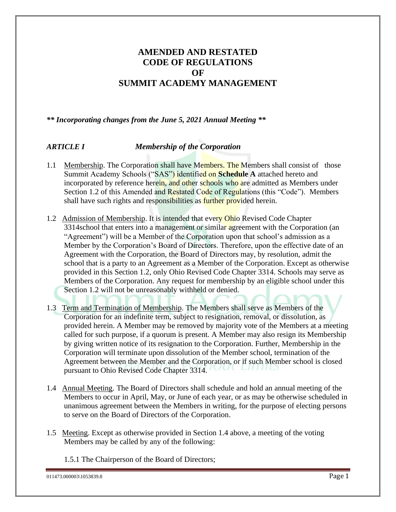### **AMENDED AND RESTATED CODE OF REGULATIONS OF SUMMIT ACADEMY MANAGEMENT**

*\*\* Incorporating changes from the June 5, 2021 Annual Meeting \*\**

### *ARTICLE I Membership of the Corporation*

- 1.1 Membership. The Corporation shall have Members. The Members shall consist of those Summit Academy Schools ("SAS") identified on **Schedule A** attached hereto and incorporated by reference herein, and other schools who are admitted as Members under Section 1.2 of this Amended and Restated Code of Regulations (this "Code"). Members shall have such rights and responsibilities as **further provided** herein.
- 1.2 Admission of Membership. It is intended that every Ohio Revised Code Chapter 3314school that enters into a management or similar agreement with the Corporation (an "Agreement") will be a Member of the Corporation upon that school's admission as a Member by the Corporation's Board of Directors. Therefore, upon the effective date of an Agreement with the Corporation, the Board of Directors may, by resolution, admit the school that is a party to an Agreement as a Member of the Corporation. Except as otherwise provided in this Section 1.2, only Ohio Revised Code Chapter 3314. Schools may serve as Members of the Corporation. Any request for membership by an eligible school under this Section 1.2 will not be unreasonably withheld or denied.
- 1.3 Term and Termination of Membership. The Members shall serve as Members of the Corporation for an indefinite term, subject to resignation, removal, or dissolution, as provided herein. A Member may be removed by majority vote of the Members at a meeting called for such purpose, if a quorum is present. A Member may also resign its Membership by giving written notice of its resignation to the Corporation. Further, Membership in the Corporation will terminate upon dissolution of the Member school, termination of the Agreement between the Member and the Corporation, or if such Member school is closed pursuant to Ohio Revised Code Chapter 3314.
- 1.4 Annual Meeting. The Board of Directors shall schedule and hold an annual meeting of the Members to occur in April, May, or June of each year, or as may be otherwise scheduled in unanimous agreement between the Members in writing, for the purpose of electing persons to serve on the Board of Directors of the Corporation.
- 1.5 Meeting. Except as otherwise provided in Section 1.4 above, a meeting of the voting Members may be called by any of the following:
	- 1.5.1 The Chairperson of the Board of Directors;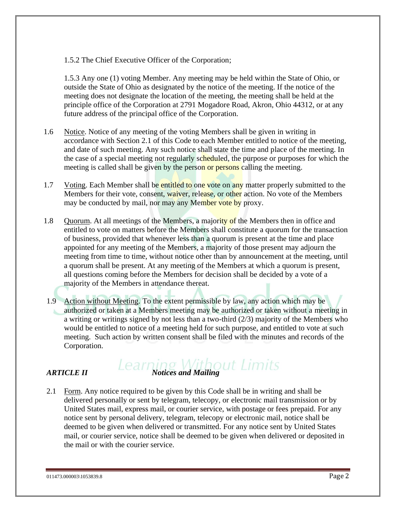#### 1.5.2 The Chief Executive Officer of the Corporation;

1.5.3 Any one (1) voting Member. Any meeting may be held within the State of Ohio, or outside the State of Ohio as designated by the notice of the meeting. If the notice of the meeting does not designate the location of the meeting, the meeting shall be held at the principle office of the Corporation at 2791 Mogadore Road, Akron, Ohio 44312, or at any future address of the principal office of the Corporation.

- 1.6 Notice. Notice of any meeting of the voting Members shall be given in writing in accordance with Section 2.1 of this Code to each Member entitled to notice of the meeting, and date of such meeting. Any such notice shall state the time and place of the meeting. In the case of a special meeting not regularly scheduled, the purpose or purposes for which the meeting is called shall be given by the person or persons calling the meeting.
- 1.7 Voting. Each Member shall be entitled to one vote on any matter properly submitted to the Members for their vote, consent, waiver, release, or other action. No vote of the Members may be conducted by mail, nor may any Member vote by proxy.
- 1.8 Quorum. At all meetings of the Members, a majority of the Members then in office and entitled to vote on matters before the Members shall constitute a quorum for the transaction of business, provided that whenever less than a quorum is present at the time and place appointed for any meeting of the Members, a majority of those present may adjourn the meeting from time to time, without notice other than by announcement at the meeting, until a quorum shall be present. At any meeting of the Members at which a quorum is present, all questions coming before the Members for decision shall be decided by a vote of a majority of the Members in attendance thereat.
- 1.9 Action without Meeting. To the extent permissible by law, any action which may be authorized or taken at a Members meeting may be authorized or taken without a meeting in a writing or writings signed by not less than a two-third (2/3) majority of the Members who would be entitled to notice of a meeting held for such purpose, and entitled to vote at such meeting. Such action by written consent shall be filed with the minutes and records of the Corporation.

# *ARTICLE II Learning Without Limits*

2.1 Form. Any notice required to be given by this Code shall be in writing and shall be delivered personally or sent by telegram, telecopy, or electronic mail transmission or by United States mail, express mail, or courier service, with postage or fees prepaid. For any notice sent by personal delivery, telegram, telecopy or electronic mail, notice shall be deemed to be given when delivered or transmitted. For any notice sent by United States mail, or courier service, notice shall be deemed to be given when delivered or deposited in the mail or with the courier service.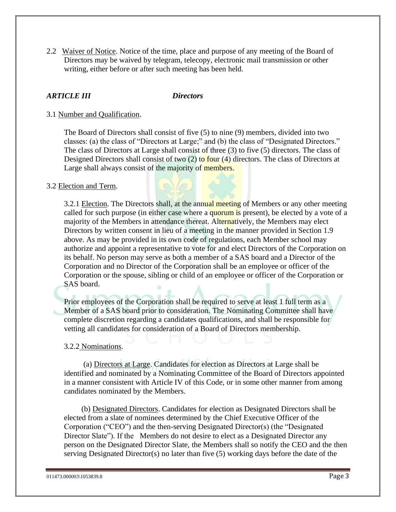2.2 Waiver of Notice. Notice of the time, place and purpose of any meeting of the Board of Directors may be waived by telegram, telecopy, electronic mail transmission or other writing, either before or after such meeting has been held.

### *ARTICLE III Directors*

#### 3.1 Number and Qualification.

The Board of Directors shall consist of five (5) to nine (9) members, divided into two classes: (a) the class of "Directors at Large;" and (b) the class of "Designated Directors." The class of Directors at Large shall consist of three (3) to five (5) directors. The class of Designed Directors shall consist of two (2) to four (4) directors. The class of Directors at Large shall always consist of the majority of members.

#### 3.2 Election and Term.

3.2.1 Election. The Directors shall, at the annual meeting of Members or any other meeting called for such purpose (in either case where a quorum is present), be elected by a vote of a majority of the Members in attendance thereat. Alternatively, the Members may elect Directors by written consent in lieu of a meeting in the manner provided in Section 1.9 above. As may be provided in its own code of regulations, each Member school may authorize and appoint a representative to vote for and elect Directors of the Corporation on its behalf. No person may serve as both a member of a SAS board and a Director of the Corporation and no Director of the Corporation shall be an employee or officer of the Corporation or the spouse, sibling or child of an employee or officer of the Corporation or SAS board.

Prior employees of the Corporation shall be required to serve at least 1 full term as a Member of a SAS board prior to consideration. The Nominating Committee shall have complete discretion regarding a candidates qualifications, and shall be responsible for vetting all candidates for consideration of a Board of Directors membership.

#### 3.2.2 Nominations.

(a) Directors at Large. Candidates for election as Directors at Large shall be identified and nominated by a Nominating Committee of the Board of Directors appointed in a manner consistent with Article IV of this Code, or in some other manner from among candidates nominated by the Members.

(b) Designated Directors. Candidates for election as Designated Directors shall be elected from a slate of nominees determined by the Chief Executive Officer of the Corporation ("CEO") and the then-serving Designated Director(s) (the "Designated Director Slate"). If the Members do not desire to elect as a Designated Director any person on the Designated Director Slate, the Members shall so notify the CEO and the then serving Designated Director(s) no later than five (5) working days before the date of the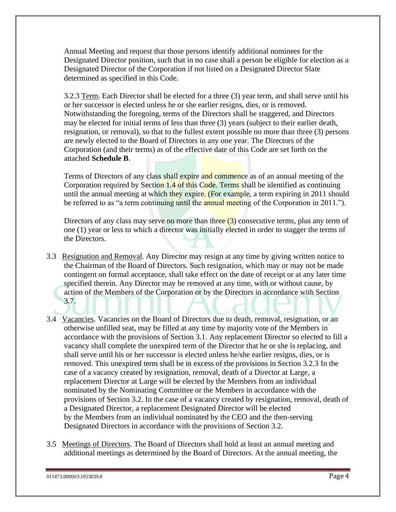Annual Meeting and request that those persons identify additional nominees for the Designated Director position, such that in no case shall a person be eligible for election as a Designated Director of the Corporation if not listed on a Designated Director Slate determined as specified in this Code.

3.2.3 Term. Each Director shall be elected for a three (3) year term, and shall serve until his or her successor is elected unless he or she earlier resigns, dies, or is removed. Notwithstanding the foregoing, terms of the Directors shall be staggered, and Directors may be elected for initial terms of less than three (3) years (subject to their earlier death, resignation, or removal), so that to the fullest extent possible no more than three (3) persons are newly elected to the Board of Directors in any one year. The Directors of the Corporation (and their terms) as of the effective date of this Code are set forth on the attached **Schedule B**.

Terms of Directors of any class shall expire and commence as of an annual meeting of the Corporation required by Section 1.4 of this Code. Terms shall be identified as continuing until the annual meeting at which they expire. (For example, a term expiring in 2011 should be referred to as "a term continuing until the annual meeting of the Corporation in 2011.").

Directors of any class may serve no more than three (3) consecutive terms, plus any term of one (1) year or less to which a director was initially elected in order to stagger the terms of the Directors.

- 3.3 Resignation and Removal. Any Director may resign at any time by giving written notice to the Chairman of the Board of Directors. Such resignation, which may or may not be made contingent on formal acceptance, shall take effect on the date of receipt or at any later time specified therein. Any Director may be removed at any time, with or without cause, by action of the Members of the Corporation or by the Directors in accordance with Section 3.7.
- 3.4 Vacancies. Vacancies on the Board of Directors due to death, removal, resignation, or an otherwise unfilled seat, may be filled at any time by majority vote of the Members in accordance with the provisions of Section 3.1. Any replacement Director so elected to fill a vacancy shall complete the unexpired term of the Director that he or she is replacing, and shall serve until his or her successor is elected unless he/she earlier resigns, dies, or is removed. This unexpired term shall be in excess of the provisions in Section 3.2.3 In the case of a vacancy created by resignation, removal, death of a Director at Large, a replacement Director at Large will be elected by the Members from an individual nominated by the Nominating Committee or the Members in accordance with the provisions of Section 3.2. In the case of a vacancy created by resignation, removal, death of a Designated Director, a replacement Designated Director will be elected by the Members from an individual nominated by the CEO and the then-serving Designated Directors in accordance with the provisions of Section 3.2.
- 3.5 Meetings of Directors. The Board of Directors shall hold at least an annual meeting and additional meetings as determined by the Board of Directors. At the annual meeting, the

<sup>011473.000003\1053839.8</sup> Page 4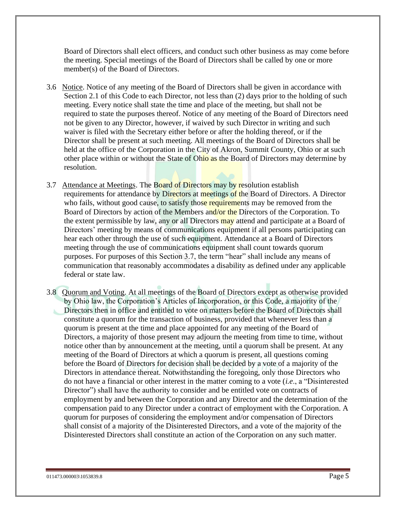Board of Directors shall elect officers, and conduct such other business as may come before the meeting. Special meetings of the Board of Directors shall be called by one or more member(s) of the Board of Directors.

- 3.6 Notice. Notice of any meeting of the Board of Directors shall be given in accordance with Section 2.1 of this Code to each Director, not less than  $(2)$  days prior to the holding of such meeting. Every notice shall state the time and place of the meeting, but shall not be required to state the purposes thereof. Notice of any meeting of the Board of Directors need not be given to any Director, however, if waived by such Director in writing and such waiver is filed with the Secretary either before or after the holding thereof, or if the Director shall be present at such meeting. All meetings of the Board of Directors shall be held at the office of the Corporation in the City of Akron, Summit County, Ohio or at such other place within or without the State of Ohio as the Board of Directors may determine by resolution.
- 3.7 Attendance at Meetings. The Board of Directors may by resolution establish requirements for attendance by Directors at meetings of the Board of Directors. A Director who fails, without good cause, to satisfy those requirements may be removed from the Board of Directors by action of the Members and/or the Directors of the Corporation. To the extent permissible by law, any or all Directors may attend and participate at a Board of Directors' meeting by means of communications equipment if all persons participating can hear each other through the use of such equipment. Attendance at a Board of Directors meeting through the use of communications equipment shall count towards quorum purposes. For purposes of this Section 3.7, the term "hear" shall include any means of communication that reasonably accommodates a disability as defined under any applicable federal or state law.
- 3.8 Quorum and Voting. At all meetings of the Board of Directors except as otherwise provided by Ohio law, the Corporation's Articles of Incorporation, or this Code, a majority of the Directors then in office and entitled to vote on matters before the Board of Directors shall constitute a quorum for the transaction of business, provided that whenever less than a quorum is present at the time and place appointed for any meeting of the Board of Directors, a majority of those present may adjourn the meeting from time to time, without notice other than by announcement at the meeting, until a quorum shall be present. At any meeting of the Board of Directors at which a quorum is present, all questions coming before the Board of Directors for decision shall be decided by a vote of a majority of the Directors in attendance thereat. Notwithstanding the foregoing, only those Directors who do not have a financial or other interest in the matter coming to a vote (*i.e*., a "Disinterested Director") shall have the authority to consider and be entitled vote on contracts of employment by and between the Corporation and any Director and the determination of the compensation paid to any Director under a contract of employment with the Corporation. A quorum for purposes of considering the employment and/or compensation of Directors shall consist of a majority of the Disinterested Directors, and a vote of the majority of the Disinterested Directors shall constitute an action of the Corporation on any such matter.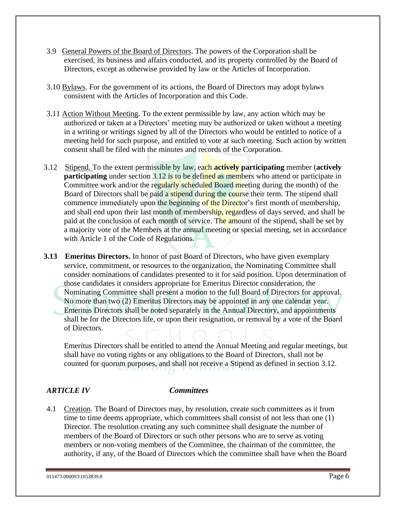- 3.9 General Powers of the Board of Directors. The powers of the Corporation shall be exercised, its business and affairs conducted, and its property controlled by the Board of Directors, except as otherwise provided by law or the Articles of Incorporation.
- 3.10 Bylaws. For the government of its actions, the Board of Directors may adopt bylaws consistent with the Articles of Incorporation and this Code.
- 3.11 Action Without Meeting. To the extent permissible by law, any action which may be authorized or taken at a Directors' meeting may be authorized or taken without a meeting in a writing or writings signed by all of the Directors who would be entitled to notice of a meeting held for such purpose, and entitled to vote at such meeting. Such action by written consent shall be filed with the minutes and records of the Corporation.
- 3.12 Stipend. To the extent permissible by law, each **actively participating** member (**actively participating** under section 3.12 is to be defined as members who attend or participate in Committee work and/or the regularly scheduled Board meeting during the month) of the Board of Directors shall be paid a stipend during the course their term. The stipend shall commence immediately upon the beginning of the Director's first month of membership, and shall end upon their last month of membership, regardless of days served, and shall be paid at the conclusion of each month of service. The amount of the stipend, shall be set by a majority vote of the Members at the annual meeting or special meeting, set in accordance with Article 1 of the Code of Regulations.
- **3.13 Emeritus Directors.** In honor of past Board of Directors, who have given exemplary service, commitment, or resources to the organization, the Nominating Committee shall consider nominations of candidates presented to it for said position. Upon determination of those candidates it considers appropriate for Emeritus Director consideration, the Nominating Committee shall present a motion to the full Board of Directors for approval. No more than two (2) Emeritus Directors may be appointed in any one calendar year. Emeritus Directors shall be noted separately in the Annual Directory, and appointments shall be for the Directors life, or upon their resignation, or removal by a vote of the Board of Directors.

Emeritus Directors shall be entitled to attend the Annual Meeting and regular meetings, but shall have no voting rights or any obligations to the Board of Directors, shall not be counted for quorum purposes, and shall not receive a Stipend as defined in section 3.12.

#### *ARTICLE IV Committees*

4.1 Creation. The Board of Directors may, by resolution, create such committees as it from time to time deems appropriate, which committees shall consist of not less than one (1) Director. The resolution creating any such committee shall designate the number of members of the Board of Directors or such other persons who are to serve as voting members or non-voting members of the Committee, the chairman of the committee, the authority, if any, of the Board of Directors which the committee shall have when the Board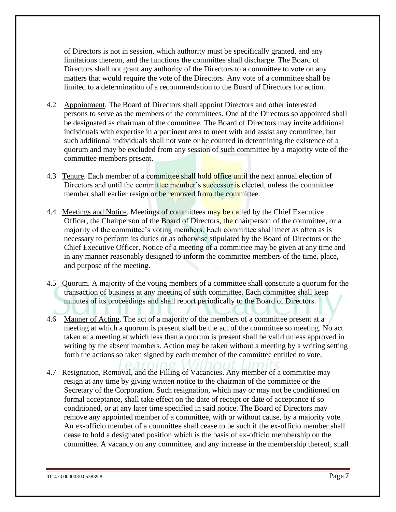of Directors is not in session, which authority must be specifically granted, and any limitations thereon, and the functions the committee shall discharge. The Board of Directors shall not grant any authority of the Directors to a committee to vote on any matters that would require the vote of the Directors. Any vote of a committee shall be limited to a determination of a recommendation to the Board of Directors for action.

- 4.2 Appointment. The Board of Directors shall appoint Directors and other interested persons to serve as the members of the committees. One of the Directors so appointed shall be designated as chairman of the committee. The Board of Directors may invite additional individuals with expertise in a pertinent area to meet with and assist any committee, but such additional individuals shall not vote or be counted in determining the existence of a quorum and may be excluded from any session of such committee by a majority vote of the committee members present.
- 4.3 Tenure. Each member of a committee shall hold office until the next annual election of Directors and until the committee member's successor is elected, unless the committee member shall earlier resign or be removed from the committee.
- 4.4 Meetings and Notice. Meetings of committees may be called by the Chief Executive Officer, the Chairperson of the Board of Directors, the chairperson of the committee, or a majority of the committee's voting members. Each committee shall meet as often as is necessary to perform its duties or as otherwise stipulated by the Board of Directors or the Chief Executive Officer. Notice of a meeting of a committee may be given at any time and in any manner reasonably designed to inform the committee members of the time, place, and purpose of the meeting.
- 4.5 Quorum. A majority of the voting members of a committee shall constitute a quorum for the transaction of business at any meeting of such committee. Each committee shall keep minutes of its proceedings and shall report periodically to the Board of Directors.
- 4.6 Manner of Acting. The act of a majority of the members of a committee present at a meeting at which a quorum is present shall be the act of the committee so meeting. No act taken at a meeting at which less than a quorum is present shall be valid unless approved in writing by the absent members. Action may be taken without a meeting by a writing setting forth the actions so taken signed by each member of the committee entitled to vote.
- 4.7 Resignation, Removal, and the Filling of Vacancies. Any member of a committee may resign at any time by giving written notice to the chairman of the committee or the Secretary of the Corporation. Such resignation, which may or may not be conditioned on formal acceptance, shall take effect on the date of receipt or date of acceptance if so conditioned, or at any later time specified in said notice. The Board of Directors may remove any appointed member of a committee, with or without cause, by a majority vote. An ex-officio member of a committee shall cease to be such if the ex-officio member shall cease to hold a designated position which is the basis of ex-officio membership on the committee. A vacancy on any committee, and any increase in the membership thereof, shall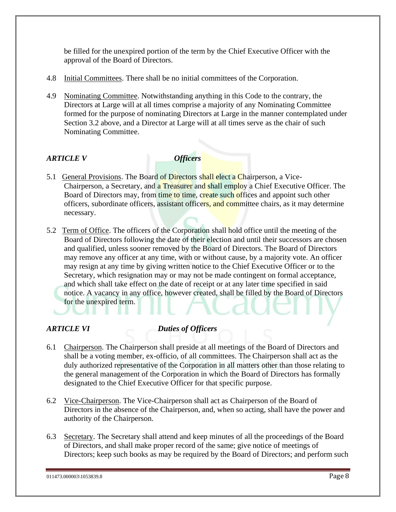be filled for the unexpired portion of the term by the Chief Executive Officer with the approval of the Board of Directors.

- 4.8 Initial Committees. There shall be no initial committees of the Corporation.
- 4.9 Nominating Committee. Notwithstanding anything in this Code to the contrary, the Directors at Large will at all times comprise a majority of any Nominating Committee formed for the purpose of nominating Directors at Large in the manner contemplated under Section 3.2 above, and a Director at Large will at all times serve as the chair of such Nominating Committee.

### *ARTICLE V Officers*

- 5.1 General Provisions. The Board of Directors shall elect a Chairperson, a Vice-Chairperson, a Secretary, and a Treasurer and shall employ a Chief Executive Officer. The Board of Directors may, from time to time, create such offices and appoint such other officers, subordinate officers, assistant officers, and committee chairs, as it may determine necessary.
- 5.2 Term of Office. The officers of the Corporation shall hold office until the meeting of the Board of Directors following the date of their election and until their successors are chosen and qualified, unless sooner removed by the Board of Directors. The Board of Directors may remove any officer at any time, with or without cause, by a majority vote. An officer may resign at any time by giving written notice to the Chief Executive Officer or to the Secretary, which resignation may or may not be made contingent on formal acceptance, and which shall take effect on the date of receipt or at any later time specified in said notice. A vacancy in any office, however created, shall be filled by the Board of Directors for the unexpired term.

#### *ARTICLE VI Duties of Officers*

- 6.1 Chairperson. The Chairperson shall preside at all meetings of the Board of Directors and shall be a voting member, ex-officio, of all committees. The Chairperson shall act as the duly authorized representative of the Corporation in all matters other than those relating to the general management of the Corporation in which the Board of Directors has formally designated to the Chief Executive Officer for that specific purpose.
- 6.2 Vice-Chairperson. The Vice-Chairperson shall act as Chairperson of the Board of Directors in the absence of the Chairperson, and, when so acting, shall have the power and authority of the Chairperson.
- 6.3 Secretary. The Secretary shall attend and keep minutes of all the proceedings of the Board of Directors, and shall make proper record of the same; give notice of meetings of Directors; keep such books as may be required by the Board of Directors; and perform such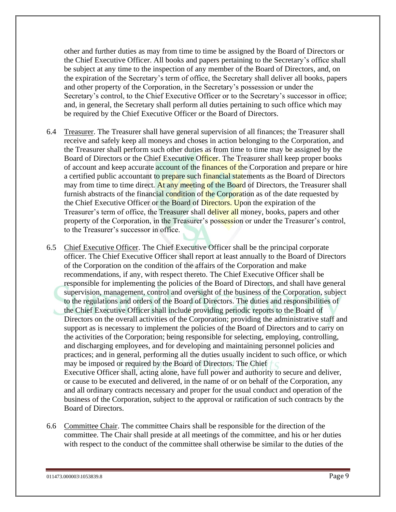other and further duties as may from time to time be assigned by the Board of Directors or the Chief Executive Officer. All books and papers pertaining to the Secretary's office shall be subject at any time to the inspection of any member of the Board of Directors, and, on the expiration of the Secretary's term of office, the Secretary shall deliver all books, papers and other property of the Corporation, in the Secretary's possession or under the Secretary's control, to the Chief Executive Officer or to the Secretary's successor in office; and, in general, the Secretary shall perform all duties pertaining to such office which may be required by the Chief Executive Officer or the Board of Directors.

- 6.4 Treasurer. The Treasurer shall have general supervision of all finances; the Treasurer shall receive and safely keep all moneys and choses in action belonging to the Corporation, and the Treasurer shall perform such other duties as from time to time may be assigned by the Board of Directors or the Chief Executive Officer. The Treasurer shall keep proper books of account and keep accurate account of the finances of the Corporation and prepare or hire a certified public accountant to prepare such financial statements as the Board of Directors may from time to time direct. At any meeting of the Board of Directors, the Treasurer shall furnish abstracts of the financial condition of the Corporation as of the date requested by the Chief Executive Officer or the Board of Directors. Upon the expiration of the Treasurer's term of office, the Treasurer shall deliver all money, books, papers and other property of the Corporation, in the Treasurer's possession or under the Treasurer's control, to the Treasurer's successor in office.
- 6.5 Chief Executive Officer. The Chief Executive Officer shall be the principal corporate officer. The Chief Executive Officer shall report at least annually to the Board of Directors of the Corporation on the condition of the affairs of the Corporation and make recommendations, if any, with respect thereto. The Chief Executive Officer shall be responsible for implementing the policies of the Board of Directors, and shall have general supervision, management, control and oversight of the business of the Corporation, subject to the regulations and orders of the Board of Directors. The duties and responsibilities of the Chief Executive Officer shall include providing periodic reports to the Board of Directors on the overall activities of the Corporation; providing the administrative staff and support as is necessary to implement the policies of the Board of Directors and to carry on the activities of the Corporation; being responsible for selecting, employing, controlling, and discharging employees, and for developing and maintaining personnel policies and practices; and in general, performing all the duties usually incident to such office, or which may be imposed or required by the Board of Directors. The Chief Executive Officer shall, acting alone, have full power and authority to secure and deliver, or cause to be executed and delivered, in the name of or on behalf of the Corporation, any and all ordinary contracts necessary and proper for the usual conduct and operation of the business of the Corporation, subject to the approval or ratification of such contracts by the Board of Directors.
- 6.6 Committee Chair. The committee Chairs shall be responsible for the direction of the committee. The Chair shall preside at all meetings of the committee, and his or her duties with respect to the conduct of the committee shall otherwise be similar to the duties of the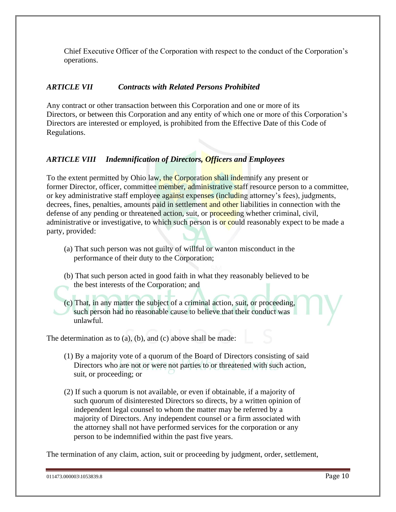Chief Executive Officer of the Corporation with respect to the conduct of the Corporation's operations.

#### *ARTICLE VII Contracts with Related Persons Prohibited*

Any contract or other transaction between this Corporation and one or more of its Directors, or between this Corporation and any entity of which one or more of this Corporation's Directors are interested or employed, is prohibited from the Effective Date of this Code of Regulations.

### *ARTICLE VIII Indemnification of Directors, Officers and Employees*

To the extent permitted by Ohio law, the Corporation shall indemnify any present or former Director, officer, committee member, administrative staff resource person to a committee, or key administrative staff employee against expenses (including attorney's fees), judgments, decrees, fines, penalties, amounts paid in settlement and other liabilities in connection with the defense of any pending or threatened action, suit, or **proceeding** whether criminal, civil, administrative or investigative, to which such person is or could reasonably expect to be made a party, provided:

- (a) That such person was not guilty of willful or wanton misconduct in the performance of their duty to the Corporation;
- (b) That such person acted in good faith in what they reasonably believed to be the best interests of the Corporation; and

(c) That, in any matter the subject of a criminal action, suit, or proceeding, such person had no reasonable cause to believe that their conduct was unlawful.

The determination as to (a), (b), and (c) above shall be made:

- (1) By a majority vote of a quorum of the Board of Directors consisting of said Directors who are not or were not parties to or threatened with such action, suit, or proceeding; or
- (2) If such a quorum is not available, or even if obtainable, if a majority of such quorum of disinterested Directors so directs, by a written opinion of independent legal counsel to whom the matter may be referred by a majority of Directors. Any independent counsel or a firm associated with the attorney shall not have performed services for the corporation or any person to be indemnified within the past five years.

The termination of any claim, action, suit or proceeding by judgment, order, settlement,

```
011473.000003\1053839.8 Page 10
```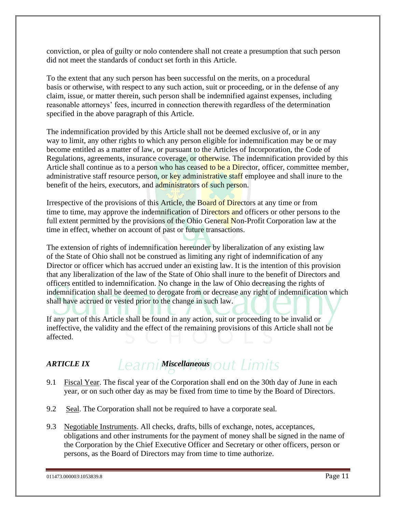conviction, or plea of guilty or nolo contendere shall not create a presumption that such person did not meet the standards of conduct set forth in this Article.

To the extent that any such person has been successful on the merits, on a procedural basis or otherwise, with respect to any such action, suit or proceeding, or in the defense of any claim, issue, or matter therein, such person shall be indemnified against expenses, including reasonable attorneys' fees, incurred in connection therewith regardless of the determination specified in the above paragraph of this Article.

The indemnification provided by this Article shall not be deemed exclusive of, or in any way to limit, any other rights to which any person eligible for indemnification may be or may become entitled as a matter of law, or pursuant to the Articles of Incorporation, the Code of Regulations, agreements, insurance coverage, or otherwise. The indemnification provided by this Article shall continue as to a person who has ceased to be a Director, officer, committee member, administrative staff resource person, or key administrative staff employee and shall inure to the benefit of the heirs, executors, and administrators of such person.

Irrespective of the provisions of this Article, the Board of Directors at any time or from time to time, may approve the indemnification of Directors and officers or other persons to the full extent permitted by the provisions of the Ohio General Non-Profit Corporation law at the time in effect, whether on account of past or future transactions.

The extension of rights of indemnification hereunder by liberalization of any existing law of the State of Ohio shall not be construed as limiting any right of indemnification of any Director or officer which has accrued under an existing law. It is the intention of this provision that any liberalization of the law of the State of Ohio shall inure to the benefit of Directors and officers entitled to indemnification. No change in the law of Ohio decreasing the rights of indemnification shall be deemed to derogate from or decrease any right of indemnification which shall have accrued or vested prior to the change in such law.

If any part of this Article shall be found in any action, suit or proceeding to be invalid or ineffective, the validity and the effect of the remaining provisions of this Article shall not be affected.

## *ARTICLE IX earni Miscellaneous* out limits

- 9.1 Fiscal Year. The fiscal year of the Corporation shall end on the 30th day of June in each year, or on such other day as may be fixed from time to time by the Board of Directors.
- 9.2 Seal. The Corporation shall not be required to have a corporate seal.
- 9.3 Negotiable Instruments. All checks, drafts, bills of exchange, notes, acceptances, obligations and other instruments for the payment of money shall be signed in the name of the Corporation by the Chief Executive Officer and Secretary or other officers, person or persons, as the Board of Directors may from time to time authorize.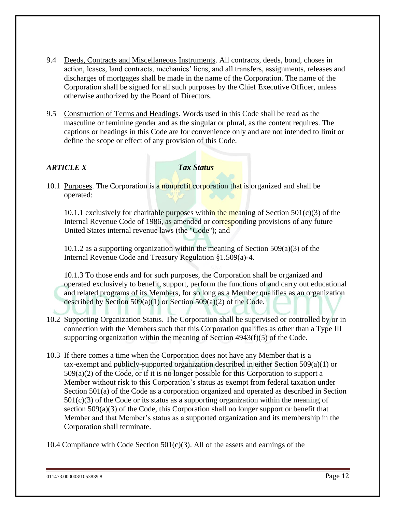- 9.4 Deeds, Contracts and Miscellaneous Instruments. All contracts, deeds, bond, choses in action, leases, land contracts, mechanics' liens, and all transfers, assignments, releases and discharges of mortgages shall be made in the name of the Corporation. The name of the Corporation shall be signed for all such purposes by the Chief Executive Officer, unless otherwise authorized by the Board of Directors.
- 9.5 Construction of Terms and Headings. Words used in this Code shall be read as the masculine or feminine gender and as the singular or plural, as the content requires. The captions or headings in this Code are for convenience only and are not intended to limit or define the scope or effect of any provision of this Code.

#### *ARTICLE X Tax Status*

10.1 Purposes. The Corporation is a nonprofit corporation that is organized and shall be operated:

10.1.1 exclusively for charitable purposes within the meaning of Section  $501(c)(3)$  of the Internal Revenue Code of 1986, as amended or corresponding provisions of any future United States internal revenue laws (the "Code''); and

10.1.2 as a supporting organization within the meaning of Section 509(a)(3) of the Internal Revenue Code and Treasury Regulation §1.509(a)-4.

10.1.3 To those ends and for such purposes, the Corporation shall be organized and operated exclusively to benefit, support, perform the functions of and carry out educational and related programs of its Members, for so long as a Member qualifies as an organization described by Section 509(a)(1) or Section 509(a)(2) of the Code.

- 10.2 Supporting Organization Status. The Corporation shall be supervised or controlled by or in connection with the Members such that this Corporation qualifies as other than a Type III supporting organization within the meaning of Section 4943(f)(5) of the Code.
- 10.3 If there comes a time when the Corporation does not have any Member that is a tax-exempt and publicly-supported organization described in either Section 509(a)(1) or  $509(a)(2)$  of the Code, or if it is no longer possible for this Corporation to support a Member without risk to this Corporation's status as exempt from federal taxation under Section 501(a) of the Code as a corporation organized and operated as described in Section  $501(c)(3)$  of the Code or its status as a supporting organization within the meaning of section 509(a)(3) of the Code, this Corporation shall no longer support or benefit that Member and that Member's status as a supported organization and its membership in the Corporation shall terminate.
- 10.4 Compliance with Code Section  $501(c)(3)$ . All of the assets and earnings of the

<sup>011473.000003\1053839.8</sup> Page 12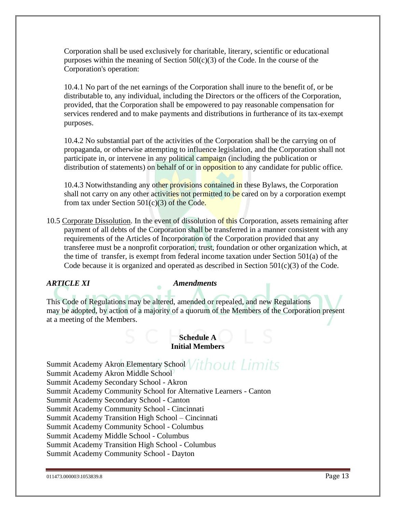Corporation shall be used exclusively for charitable, literary, scientific or educational purposes within the meaning of Section  $50I(c)(3)$  of the Code. In the course of the Corporation's operation:

10.4.1 No part of the net earnings of the Corporation shall inure to the benefit of, or be distributable to, any individual, including the Directors or the officers of the Corporation, provided, that the Corporation shall be empowered to pay reasonable compensation for services rendered and to make payments and distributions in furtherance of its tax-exempt purposes.

10.4.2 No substantial part of the activities of the Corporation shall be the carrying on of propaganda, or otherwise attempting to influence legislation, and the Corporation shall not participate in, or intervene in any political campaign (including the publication or distribution of statements) on behalf of or in **opposition to** any candidate for public office.

10.4.3 Notwithstanding any other provisions contained in these Bylaws, the Corporation shall not carry on any other activities not permitted to be cared on by a corporation exempt from tax under Section  $501(c)(3)$  of the Code.

10.5 Corporate Dissolution. In the event of dissolution of this Corporation, assets remaining after payment of all debts of the Corporation shall be transferred in a manner consistent with any requirements of the Articles of Incorporation of the Corporation provided that any transferee must be a nonprofit corporation, trust, foundation or other organization which, at the time of transfer, is exempt from federal income taxation under Section 501(a) of the Code because it is organized and operated as described in Section  $501(c)(3)$  of the Code.

#### *ARTICLE XI Amendments*

This Code of Regulations may be altered, amended or repealed, and new Regulations may be adopted, by action of a majority of a quorum of the Members of the Corporation present at a meeting of the Members.

#### **Schedule A Initial Members**

Summit Academy Akron Elementary School Vithout Limits Summit Academy Akron Middle School Summit Academy Secondary School - Akron Summit Academy Community School for Alternative Learners - Canton Summit Academy Secondary School - Canton Summit Academy Community School - Cincinnati Summit Academy Transition High School – Cincinnati Summit Academy Community School - Columbus Summit Academy Middle School - Columbus Summit Academy Transition High School - Columbus Summit Academy Community School - Dayton

```
011473.000003\1053839.8 Page 13
```